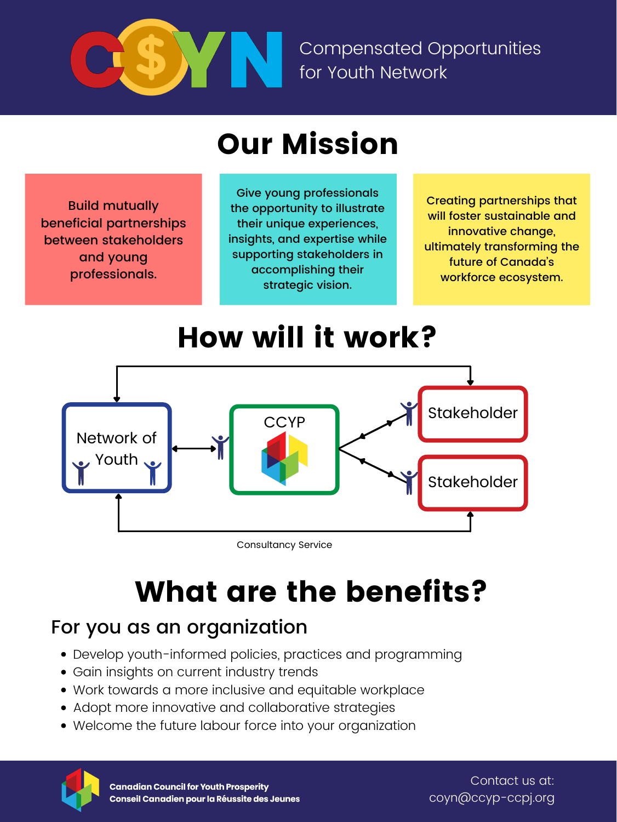

Compensated Opportunities for Youth Network

- Develop youth-informed policies, practices and programming
- Gain insights on current industry trends
- Work towards a more inclusive and equitable workplace
- Adopt more innovative and collaborative strategies
- Welcome the future labour force into your organization



#### For you as an organization

Contact us at: coyn@ccyp-ccpj.org



Consultancy Service

### Our Mission

### How will it work?

# What are the benefits?

Build mutually beneficial partnerships between stakeholders and young professionals.

Creating partnerships that will foster sustainable and innovative change, ultimately transforming the future of Canada 's workforce ecosystem.

Give young professionals the opportunity to illustrate their unique experiences, insights, and expertise while supporting stakeholders in accomplishing their strategic vision.